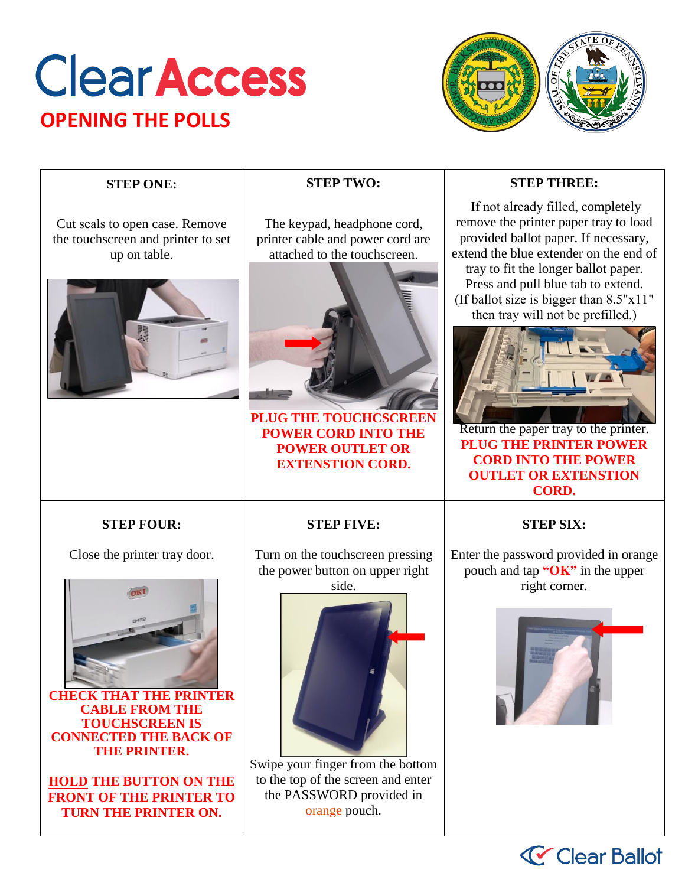## **Clear Access OPENING THE POLLS**